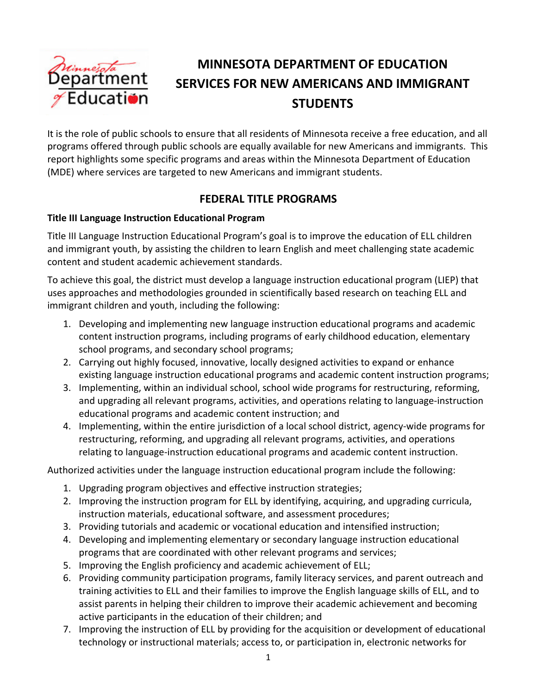

# **MINNESOTA DEPARTMENT OF EDUCATION SERVICES FOR NEW AMERICANS AND IMMIGRANT STUDENTS**

It is the role of public schools to ensure that all residents of Minnesota receive a free education, and all programs offered through public schools are equally available for new Americans and immigrants. This report highlights some specific programs and areas within the Minnesota Department of Education (MDE) where services are targeted to new Americans and immigrant students.

# **FEDERAL TITLE PROGRAMS**

### **Title III Language Instruction Educational Program**

Title III Language Instruction Educational Program's goal is to improve the education of ELL children and immigrant youth, by assisting the children to learn English and meet challenging state academic content and student academic achievement standards.

To achieve this goal, the district must develop a language instruction educational program (LIEP) that uses approaches and methodologies grounded in scientifically based research on teaching ELL and immigrant children and youth, including the following:

- 1. Developing and implementing new language instruction educational programs and academic content instruction programs, including programs of early childhood education, elementary school programs, and secondary school programs;
- 2. Carrying out highly focused, innovative, locally designed activities to expand or enhance existing language instruction educational programs and academic content instruction programs;
- 3. Implementing, within an individual school, school wide programs for restructuring, reforming, and upgrading all relevant programs, activities, and operations relating to language‐instruction educational programs and academic content instruction; and
- 4. Implementing, within the entire jurisdiction of a local school district, agency-wide programs for restructuring, reforming, and upgrading all relevant programs, activities, and operations relating to language‐instruction educational programs and academic content instruction.

Authorized activities under the language instruction educational program include the following:

- 1. Upgrading program objectives and effective instruction strategies;
- 2. Improving the instruction program for ELL by identifying, acquiring, and upgrading curricula, instruction materials, educational software, and assessment procedures;
- 3. Providing tutorials and academic or vocational education and intensified instruction;
- 4. Developing and implementing elementary or secondary language instruction educational programs that are coordinated with other relevant programs and services;
- 5. Improving the English proficiency and academic achievement of ELL;
- 6. Providing community participation programs, family literacy services, and parent outreach and training activities to ELL and their families to improve the English language skills of ELL, and to assist parents in helping their children to improve their academic achievement and becoming active participants in the education of their children; and
- 7. Improving the instruction of ELL by providing for the acquisition or development of educational technology or instructional materials; access to, or participation in, electronic networks for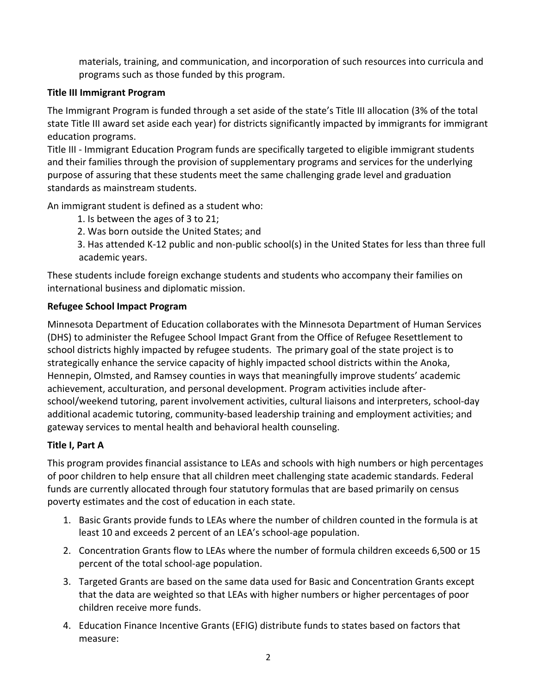materials, training, and communication, and incorporation of such resources into curricula and programs such as those funded by this program.

### **Title III Immigrant Program**

The Immigrant Program is funded through a set aside of the state's Title III allocation (3% of the total state Title III award set aside each year) for districts significantly impacted by immigrants for immigrant education programs.

Title III ‐ Immigrant Education Program funds are specifically targeted to eligible immigrant students and their families through the provision of supplementary programs and services for the underlying purpose of assuring that these students meet the same challenging grade level and graduation standards as mainstream students.

An immigrant student is defined as a student who:

1. Is between the ages of 3 to 21;

2. Was born outside the United States; and

3. Has attended K‐12 public and non‐public school(s) in the United States for less than three full academic years.

These students include foreign exchange students and students who accompany their families on international business and diplomatic mission.

### **Refugee School Impact Program**

Minnesota Department of Education collaborates with the Minnesota Department of Human Services (DHS) to administer the Refugee School Impact Grant from the Office of Refugee Resettlement to school districts highly impacted by refugee students. The primary goal of the state project is to strategically enhance the service capacity of highly impacted school districts within the Anoka, Hennepin, Olmsted, and Ramsey counties in ways that meaningfully improve students' academic achievement, acculturation, and personal development. Program activities include after‐ school/weekend tutoring, parent involvement activities, cultural liaisons and interpreters, school‐day additional academic tutoring, community‐based leadership training and employment activities; and gateway services to mental health and behavioral health counseling.

# **Title I, Part A**

This program provides financial assistance to LEAs and schools with high numbers or high percentages of poor children to help ensure that all children meet challenging state academic standards. Federal funds are currently allocated through four statutory formulas that are based primarily on census poverty estimates and the cost of education in each state.

- 1. Basic Grants provide funds to LEAs where the number of children counted in the formula is at least 10 and exceeds 2 percent of an LEA's school-age population.
- 2. Concentration Grants flow to LEAs where the number of formula children exceeds 6,500 or 15 percent of the total school‐age population.
- 3. Targeted Grants are based on the same data used for Basic and Concentration Grants except that the data are weighted so that LEAs with higher numbers or higher percentages of poor children receive more funds.
- 4. Education Finance Incentive Grants (EFIG) distribute funds to states based on factors that measure: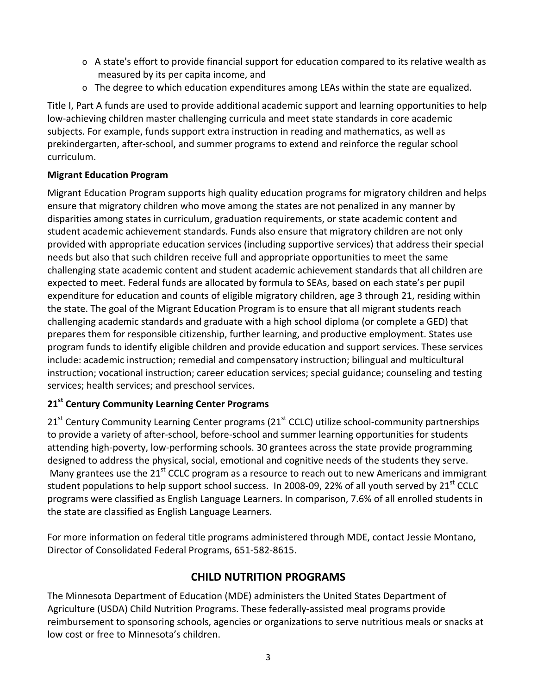- $\circ$  A state's effort to provide financial support for education compared to its relative wealth as measured by its per capita income, and
- $\circ$  The degree to which education expenditures among LEAs within the state are equalized.

Title I, Part A funds are used to provide additional academic support and learning opportunities to help low‐achieving children master challenging curricula and meet state standards in core academic subjects. For example, funds support extra instruction in reading and mathematics, as well as prekindergarten, after‐school, and summer programs to extend and reinforce the regular school curriculum.

### **Migrant Education Program**

Migrant Education Program supports high quality education programs for migratory children and helps ensure that migratory children who move among the states are not penalized in any manner by disparities among states in curriculum, graduation requirements, or state academic content and student academic achievement standards. Funds also ensure that migratory children are not only provided with appropriate education services (including supportive services) that address their special needs but also that such children receive full and appropriate opportunities to meet the same challenging state academic content and student academic achievement standards that all children are expected to meet. Federal funds are allocated by formula to SEAs, based on each state's per pupil expenditure for education and counts of eligible migratory children, age 3 through 21, residing within the state. The goal of the Migrant Education Program is to ensure that all migrant students reach challenging academic standards and graduate with a high school diploma (or complete a GED) that prepares them for responsible citizenship, further learning, and productive employment. States use program funds to identify eligible children and provide education and support services. These services include: academic instruction; remedial and compensatory instruction; bilingual and multicultural instruction; vocational instruction; career education services; special guidance; counseling and testing services; health services; and preschool services.

# **21st Century Community Learning Center Programs**

 $21<sup>st</sup>$  Century Community Learning Center programs (21 $<sup>st</sup>$  CCLC) utilize school-community partnerships</sup> to provide a variety of after‐school, before‐school and summer learning opportunities for students attending high‐poverty, low‐performing schools. 30 grantees across the state provide programming designed to address the physical, social, emotional and cognitive needs of the students they serve. Many grantees use the 21<sup>st</sup> CCLC program as a resource to reach out to new Americans and immigrant student populations to help support school success. In 2008-09, 22% of all youth served by 21<sup>st</sup> CCLC programs were classified as English Language Learners. In comparison, 7.6% of all enrolled students in the state are classified as English Language Learners.

For more information on federal title programs administered through MDE, contact Jessie Montano, Director of Consolidated Federal Programs, 651‐582‐8615.

# **CHILD NUTRITION PROGRAMS**

The Minnesota Department of Education (MDE) administers the United States Department of Agriculture (USDA) Child Nutrition Programs. These federally‐assisted meal programs provide reimbursement to sponsoring schools, agencies or organizations to serve nutritious meals or snacks at low cost or free to Minnesota's children.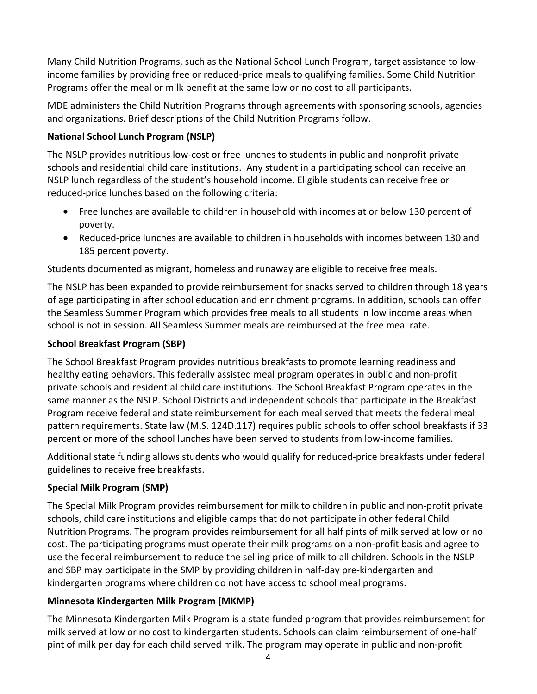Many Child Nutrition Programs, such as the National School Lunch Program, target assistance to low‐ income families by providing free or reduced‐price meals to qualifying families. Some Child Nutrition Programs offer the meal or milk benefit at the same low or no cost to all participants.

MDE administers the Child Nutrition Programs through agreements with sponsoring schools, agencies and organizations. Brief descriptions of the Child Nutrition Programs follow.

### **National School Lunch Program (NSLP)**

The NSLP provides nutritious low‐cost or free lunches to students in public and nonprofit private schools and residential child care institutions. Any student in a participating school can receive an NSLP lunch regardless of the student's household income. Eligible students can receive free or reduced‐price lunches based on the following criteria:

- Free lunches are available to children in household with incomes at or below 130 percent of poverty.
- Reduced‐price lunches are available to children in households with incomes between 130 and 185 percent poverty.

Students documented as migrant, homeless and runaway are eligible to receive free meals.

The NSLP has been expanded to provide reimbursement for snacks served to children through 18 years of age participating in after school education and enrichment programs. In addition, schools can offer the Seamless Summer Program which provides free meals to all students in low income areas when school is not in session. All Seamless Summer meals are reimbursed at the free meal rate.

#### **School Breakfast Program (SBP)**

The School Breakfast Program provides nutritious breakfasts to promote learning readiness and healthy eating behaviors. This federally assisted meal program operates in public and non‐profit private schools and residential child care institutions. The School Breakfast Program operates in the same manner as the NSLP. School Districts and independent schools that participate in the Breakfast Program receive federal and state reimbursement for each meal served that meets the federal meal pattern requirements. State law (M.S. 124D.117) requires public schools to offer school breakfasts if 33 percent or more of the school lunches have been served to students from low-income families.

Additional state funding allows students who would qualify for reduced‐price breakfasts under federal guidelines to receive free breakfasts.

#### **Special Milk Program (SMP)**

The Special Milk Program provides reimbursement for milk to children in public and non‐profit private schools, child care institutions and eligible camps that do not participate in other federal Child Nutrition Programs. The program provides reimbursement for all half pints of milk served at low or no cost. The participating programs must operate their milk programs on a non‐profit basis and agree to use the federal reimbursement to reduce the selling price of milk to all children. Schools in the NSLP and SBP may participate in the SMP by providing children in half-day pre-kindergarten and kindergarten programs where children do not have access to school meal programs.

#### **Minnesota Kindergarten Milk Program (MKMP)**

The Minnesota Kindergarten Milk Program is a state funded program that provides reimbursement for milk served at low or no cost to kindergarten students. Schools can claim reimbursement of one‐half pint of milk per day for each child served milk. The program may operate in public and non‐profit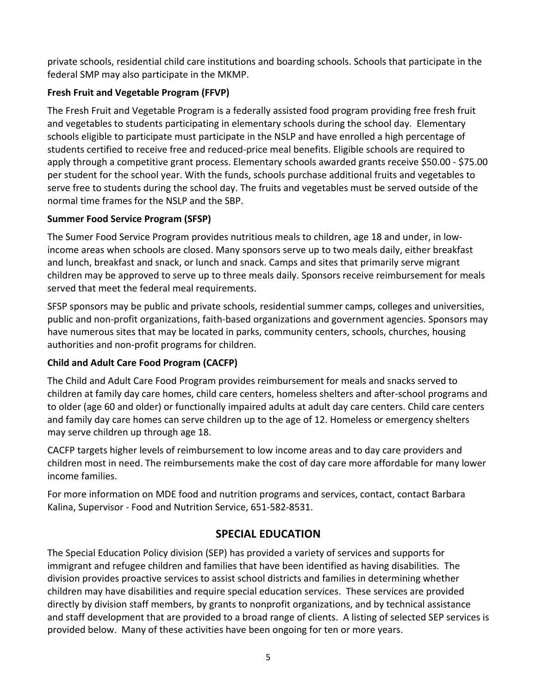private schools, residential child care institutions and boarding schools. Schools that participate in the federal SMP may also participate in the MKMP.

# **Fresh Fruit and Vegetable Program (FFVP)**

The Fresh Fruit and Vegetable Program is a federally assisted food program providing free fresh fruit and vegetables to students participating in elementary schools during the school day. Elementary schools eligible to participate must participate in the NSLP and have enrolled a high percentage of students certified to receive free and reduced‐price meal benefits. Eligible schools are required to apply through a competitive grant process. Elementary schools awarded grants receive \$50.00 ‐ \$75.00 per student for the school year. With the funds, schools purchase additional fruits and vegetables to serve free to students during the school day. The fruits and vegetables must be served outside of the normal time frames for the NSLP and the SBP.

# **Summer Food Service Program (SFSP)**

The Sumer Food Service Program provides nutritious meals to children, age 18 and under, in low‐ income areas when schools are closed. Many sponsors serve up to two meals daily, either breakfast and lunch, breakfast and snack, or lunch and snack. Camps and sites that primarily serve migrant children may be approved to serve up to three meals daily. Sponsors receive reimbursement for meals served that meet the federal meal requirements.

SFSP sponsors may be public and private schools, residential summer camps, colleges and universities, public and non‐profit organizations, faith‐based organizations and government agencies. Sponsors may have numerous sites that may be located in parks, community centers, schools, churches, housing authorities and non‐profit programs for children.

# **Child and Adult Care Food Program (CACFP)**

The Child and Adult Care Food Program provides reimbursement for meals and snacks served to children at family day care homes, child care centers, homeless shelters and after‐school programs and to older (age 60 and older) or functionally impaired adults at adult day care centers. Child care centers and family day care homes can serve children up to the age of 12. Homeless or emergency shelters may serve children up through age 18.

CACFP targets higher levels of reimbursement to low income areas and to day care providers and children most in need. The reimbursements make the cost of day care more affordable for many lower income families.

For more information on MDE food and nutrition programs and services, contact, contact Barbara Kalina, Supervisor ‐ Food and Nutrition Service, 651‐582‐8531.

# **SPECIAL EDUCATION**

The Special Education Policy division (SEP) has provided a variety of services and supports for immigrant and refugee children and families that have been identified as having disabilities. The division provides proactive services to assist school districts and families in determining whether children may have disabilities and require special education services. These services are provided directly by division staff members, by grants to nonprofit organizations, and by technical assistance and staff development that are provided to a broad range of clients. A listing of selected SEP services is provided below. Many of these activities have been ongoing for ten or more years.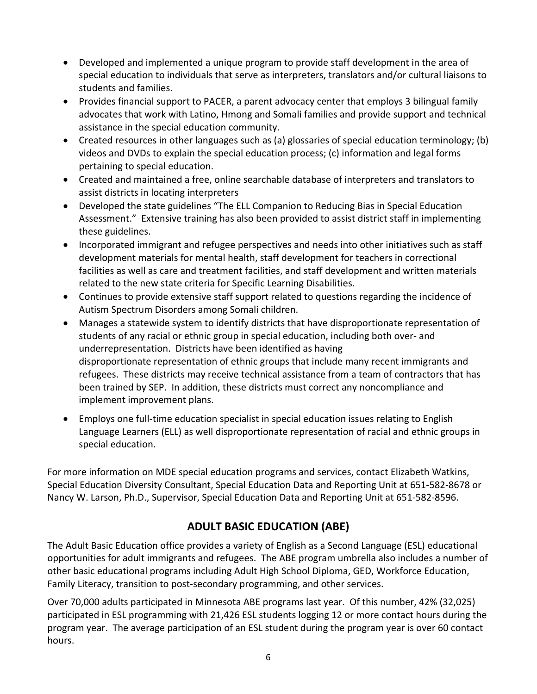- Developed and implemented a unique program to provide staff development in the area of special education to individuals that serve as interpreters, translators and/or cultural liaisons to students and families.
- Provides financial support to PACER, a parent advocacy center that employs 3 bilingual family advocates that work with Latino, Hmong and Somali families and provide support and technical assistance in the special education community.
- Created resources in other languages such as (a) glossaries of special education terminology; (b) videos and DVDs to explain the special education process; (c) information and legal forms pertaining to special education.
- Created and maintained a free, online searchable database of interpreters and translators to assist districts in locating interpreters
- Developed the state guidelines "The ELL Companion to Reducing Bias in Special Education Assessment." Extensive training has also been provided to assist district staff in implementing these guidelines.
- Incorporated immigrant and refugee perspectives and needs into other initiatives such as staff development materials for mental health, staff development for teachers in correctional facilities as well as care and treatment facilities, and staff development and written materials related to the new state criteria for Specific Learning Disabilities.
- Continues to provide extensive staff support related to questions regarding the incidence of Autism Spectrum Disorders among Somali children.
- Manages a statewide system to identify districts that have disproportionate representation of students of any racial or ethnic group in special education, including both over‐ and underrepresentation. Districts have been identified as having disproportionate representation of ethnic groups that include many recent immigrants and refugees. These districts may receive technical assistance from a team of contractors that has been trained by SEP. In addition, these districts must correct any noncompliance and implement improvement plans.
- Employs one full-time education specialist in special education issues relating to English Language Learners (ELL) as well disproportionate representation of racial and ethnic groups in special education.

For more information on MDE special education programs and services, contact Elizabeth Watkins, Special Education Diversity Consultant, Special Education Data and Reporting Unit at 651‐582‐8678 or Nancy W. Larson, Ph.D., Supervisor, Special Education Data and Reporting Unit at 651‐582‐8596.

# **ADULT BASIC EDUCATION (ABE)**

The Adult Basic Education office provides a variety of English as a Second Language (ESL) educational opportunities for adult immigrants and refugees. The ABE program umbrella also includes a number of other basic educational programs including Adult High School Diploma, GED, Workforce Education, Family Literacy, transition to post‐secondary programming, and other services.

Over 70,000 adults participated in Minnesota ABE programs last year. Of this number, 42% (32,025) participated in ESL programming with 21,426 ESL students logging 12 or more contact hours during the program year. The average participation of an ESL student during the program year is over 60 contact hours.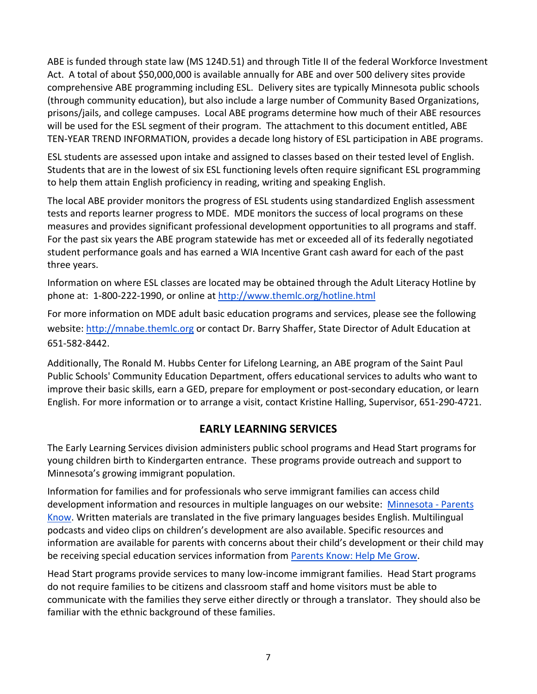ABE is funded through state law (MS 124D.51) and through Title II of the federal Workforce Investment Act. A total of about \$50,000,000 is available annually for ABE and over 500 delivery sites provide comprehensive ABE programming including ESL. Delivery sites are typically Minnesota public schools (through community education), but also include a large number of Community Based Organizations, prisons/jails, and college campuses. Local ABE programs determine how much of their ABE resources will be used for the ESL segment of their program. The attachment to this document entitled, ABE TEN‐YEAR TREND INFORMATION, provides a decade long history of ESL participation in ABE programs.

ESL students are assessed upon intake and assigned to classes based on their tested level of English. Students that are in the lowest of six ESL functioning levels often require significant ESL programming to help them attain English proficiency in reading, writing and speaking English.

The local ABE provider monitors the progress of ESL students using standardized English assessment tests and reports learner progress to MDE. MDE monitors the success of local programs on these measures and provides significant professional development opportunities to all programs and staff. For the past six years the ABE program statewide has met or exceeded all of its federally negotiated student performance goals and has earned a WIA Incentive Grant cash award for each of the past three years.

Information on where ESL classes are located may be obtained through the Adult Literacy Hotline by phone at: 1‐800‐222‐1990, or online at http://www.themlc.org/hotline.html

For more information on MDE adult basic education programs and services, please see the following website: http://mnabe.themlc.org or contact Dr. Barry Shaffer, State Director of Adult Education at 651‐582‐8442.

Additionally, The Ronald M. Hubbs Center for Lifelong Learning, an ABE program of the Saint Paul Public Schools' Community Education Department, offers educational services to adults who want to improve their basic skills, earn a GED, prepare for employment or post-secondary education, or learn English. For more information or to arrange a visit, contact Kristine Halling, Supervisor, 651‐290‐4721.

# **EARLY LEARNING SERVICES**

The Early Learning Services division administers public school programs and Head Start programs for young children birth to Kindergarten entrance. These programs provide outreach and support to Minnesota's growing immigrant population.

Information for families and for professionals who serve immigrant families can access child development information and resources in multiple languages on our website: Minnesota ‐ Parents Know. Written materials are translated in the five primary languages besides English. Multilingual podcasts and video clips on children's development are also available. Specific resources and information are available for parents with concerns about their child's development or their child may be receiving special education services information from Parents Know: Help Me Grow.

Head Start programs provide services to many low-income immigrant families. Head Start programs do not require families to be citizens and classroom staff and home visitors must be able to communicate with the families they serve either directly or through a translator. They should also be familiar with the ethnic background of these families.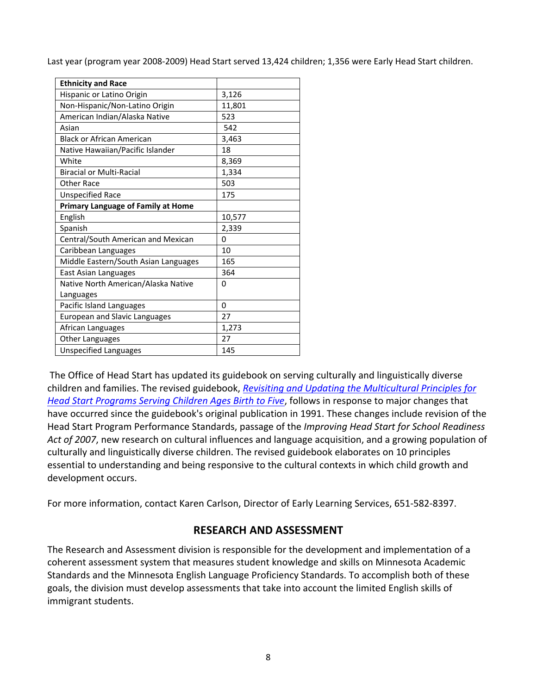Last year (program year 2008‐2009) Head Start served 13,424 children; 1,356 were Early Head Start children.

| <b>Ethnicity and Race</b>                 |        |
|-------------------------------------------|--------|
| Hispanic or Latino Origin                 | 3,126  |
| Non-Hispanic/Non-Latino Origin            | 11,801 |
| American Indian/Alaska Native             | 523    |
| Asian                                     | 542    |
| <b>Black or African American</b>          | 3,463  |
| Native Hawaiian/Pacific Islander          | 18     |
| White                                     | 8,369  |
| <b>Biracial or Multi-Racial</b>           | 1,334  |
| <b>Other Race</b>                         | 503    |
| <b>Unspecified Race</b>                   | 175    |
| <b>Primary Language of Family at Home</b> |        |
| English                                   | 10,577 |
| Spanish                                   | 2,339  |
| Central/South American and Mexican        | 0      |
| Caribbean Languages                       | 10     |
| Middle Eastern/South Asian Languages      | 165    |
| East Asian Languages                      | 364    |
| Native North American/Alaska Native       | 0      |
| Languages                                 |        |
| Pacific Island Languages                  | 0      |
| <b>European and Slavic Languages</b>      | 27     |
| African Languages                         | 1,273  |
| <b>Other Languages</b>                    | 27     |
| <b>Unspecified Languages</b>              | 145    |

The Office of Head Start has updated its guidebook on serving culturally and linguistically diverse children and families. The revised guidebook, *Revisiting and Updating the Multicultural Principles for Head Start Programs Serving Children Ages Birth to Five*, follows in response to major changes that have occurred since the guidebook's original publication in 1991. These changes include revision of the Head Start Program Performance Standards, passage of the *Improving Head Start for School Readiness Act of 2007*, new research on cultural influences and language acquisition, and a growing population of culturally and linguistically diverse children. The revised guidebook elaborates on 10 principles essential to understanding and being responsive to the cultural contexts in which child growth and development occurs.

For more information, contact Karen Carlson, Director of Early Learning Services, 651‐582‐8397.

# **RESEARCH AND ASSESSMENT**

The Research and Assessment division is responsible for the development and implementation of a coherent assessment system that measures student knowledge and skills on Minnesota Academic Standards and the Minnesota English Language Proficiency Standards. To accomplish both of these goals, the division must develop assessments that take into account the limited English skills of immigrant students.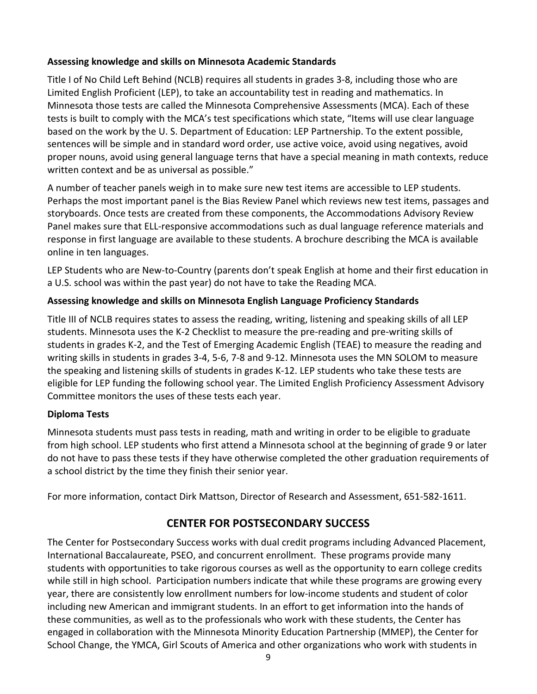### **Assessing knowledge and skills on Minnesota Academic Standards**

Title I of No Child Left Behind (NCLB) requires all students in grades 3‐8, including those who are Limited English Proficient (LEP), to take an accountability test in reading and mathematics. In Minnesota those tests are called the Minnesota Comprehensive Assessments (MCA). Each of these tests is built to comply with the MCA's test specifications which state, "Items will use clear language based on the work by the U. S. Department of Education: LEP Partnership. To the extent possible, sentences will be simple and in standard word order, use active voice, avoid using negatives, avoid proper nouns, avoid using general language terns that have a special meaning in math contexts, reduce written context and be as universal as possible."

A number of teacher panels weigh in to make sure new test items are accessible to LEP students. Perhaps the most important panel is the Bias Review Panel which reviews new test items, passages and storyboards. Once tests are created from these components, the Accommodations Advisory Review Panel makes sure that ELL‐responsive accommodations such as dual language reference materials and response in first language are available to these students. A brochure describing the MCA is available online in ten languages.

LEP Students who are New‐to‐Country (parents don't speak English at home and their first education in a U.S. school was within the past year) do not have to take the Reading MCA.

# **Assessing knowledge and skills on Minnesota English Language Proficiency Standards**

Title III of NCLB requires states to assess the reading, writing, listening and speaking skills of all LEP students. Minnesota uses the K‐2 Checklist to measure the pre‐reading and pre‐writing skills of students in grades K‐2, and the Test of Emerging Academic English (TEAE) to measure the reading and writing skills in students in grades 3‐4, 5‐6, 7‐8 and 9‐12. Minnesota uses the MN SOLOM to measure the speaking and listening skills of students in grades K‐12. LEP students who take these tests are eligible for LEP funding the following school year. The Limited English Proficiency Assessment Advisory Committee monitors the uses of these tests each year.

# **Diploma Tests**

Minnesota students must pass tests in reading, math and writing in order to be eligible to graduate from high school. LEP students who first attend a Minnesota school at the beginning of grade 9 or later do not have to pass these tests if they have otherwise completed the other graduation requirements of a school district by the time they finish their senior year.

For more information, contact Dirk Mattson, Director of Research and Assessment, 651‐582‐1611.

# **CENTER FOR POSTSECONDARY SUCCESS**

The Center for Postsecondary Success works with dual credit programs including Advanced Placement, International Baccalaureate, PSEO, and concurrent enrollment. These programs provide many students with opportunities to take rigorous courses as well as the opportunity to earn college credits while still in high school. Participation numbers indicate that while these programs are growing every year, there are consistently low enrollment numbers for low‐income students and student of color including new American and immigrant students. In an effort to get information into the hands of these communities, as well as to the professionals who work with these students, the Center has engaged in collaboration with the Minnesota Minority Education Partnership (MMEP), the Center for School Change, the YMCA, Girl Scouts of America and other organizations who work with students in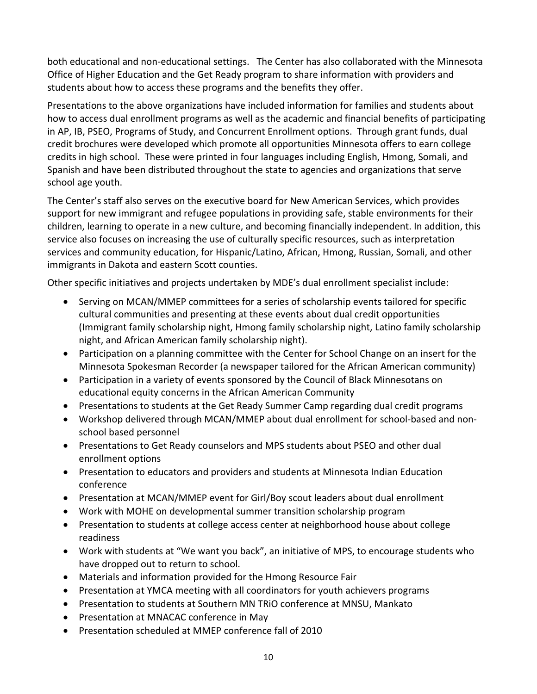both educational and non‐educational settings. The Center has also collaborated with the Minnesota Office of Higher Education and the Get Ready program to share information with providers and students about how to access these programs and the benefits they offer.

Presentations to the above organizations have included information for families and students about how to access dual enrollment programs as well as the academic and financial benefits of participating in AP, IB, PSEO, Programs of Study, and Concurrent Enrollment options. Through grant funds, dual credit brochures were developed which promote all opportunities Minnesota offers to earn college credits in high school. These were printed in four languages including English, Hmong, Somali, and Spanish and have been distributed throughout the state to agencies and organizations that serve school age youth.

The Center's staff also serves on the executive board for New American Services, which provides support for new immigrant and refugee populations in providing safe, stable environments for their children, learning to operate in a new culture, and becoming financially independent. In addition, this service also focuses on increasing the use of culturally specific resources, such as interpretation services and community education, for Hispanic/Latino, African, Hmong, Russian, Somali, and other immigrants in Dakota and eastern Scott counties.

Other specific initiatives and projects undertaken by MDE's dual enrollment specialist include:

- Serving on MCAN/MMEP committees for a series of scholarship events tailored for specific cultural communities and presenting at these events about dual credit opportunities (Immigrant family scholarship night, Hmong family scholarship night, Latino family scholarship night, and African American family scholarship night).
- Participation on a planning committee with the Center for School Change on an insert for the Minnesota Spokesman Recorder (a newspaper tailored for the African American community)
- Participation in a variety of events sponsored by the Council of Black Minnesotans on educational equity concerns in the African American Community
- Presentations to students at the Get Ready Summer Camp regarding dual credit programs
- Workshop delivered through MCAN/MMEP about dual enrollment for school‐based and non‐ school based personnel
- Presentations to Get Ready counselors and MPS students about PSEO and other dual enrollment options
- Presentation to educators and providers and students at Minnesota Indian Education conference
- Presentation at MCAN/MMEP event for Girl/Boy scout leaders about dual enrollment
- Work with MOHE on developmental summer transition scholarship program
- Presentation to students at college access center at neighborhood house about college readiness
- Work with students at "We want you back", an initiative of MPS, to encourage students who have dropped out to return to school.
- Materials and information provided for the Hmong Resource Fair
- Presentation at YMCA meeting with all coordinators for youth achievers programs
- Presentation to students at Southern MN TRiO conference at MNSU, Mankato
- Presentation at MNACAC conference in May
- Presentation scheduled at MMEP conference fall of 2010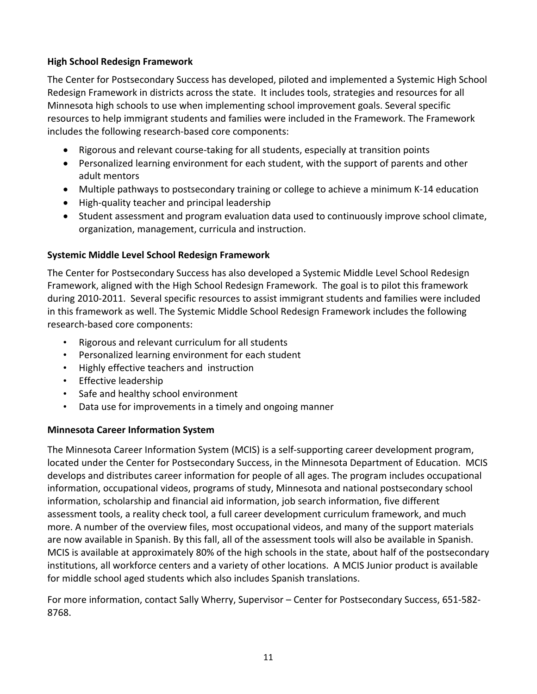### **High School Redesign Framework**

The Center for Postsecondary Success has developed, piloted and implemented a Systemic High School Redesign Framework in districts across the state. It includes tools, strategies and resources for all Minnesota high schools to use when implementing school improvement goals. Several specific resources to help immigrant students and families were included in the Framework. The Framework includes the following research‐based core components:

- Rigorous and relevant course-taking for all students, especially at transition points
- Personalized learning environment for each student, with the support of parents and other adult mentors
- Multiple pathways to postsecondary training or college to achieve a minimum K‐14 education
- High-quality teacher and principal leadership
- Student assessment and program evaluation data used to continuously improve school climate, organization, management, curricula and instruction.

# **Systemic Middle Level School Redesign Framework**

The Center for Postsecondary Success has also developed a Systemic Middle Level School Redesign Framework, aligned with the High School Redesign Framework. The goal is to pilot this framework during 2010‐2011. Several specific resources to assist immigrant students and families were included in this framework as well. The Systemic Middle School Redesign Framework includes the following research‐based core components:

- Rigorous and relevant curriculum for all students
- Personalized learning environment for each student
- Highly effective teachers and instruction
- Effective leadership
- Safe and healthy school environment
- Data use for improvements in a timely and ongoing manner

# **Minnesota Career Information System**

The Minnesota Career Information System (MCIS) is a self‐supporting career development program, located under the Center for Postsecondary Success, in the Minnesota Department of Education. MCIS develops and distributes career information for people of all ages. The program includes occupational information, occupational videos, programs of study, Minnesota and national postsecondary school information, scholarship and financial aid information, job search information, five different assessment tools, a reality check tool, a full career development curriculum framework, and much more. A number of the overview files, most occupational videos, and many of the support materials are now available in Spanish. By this fall, all of the assessment tools will also be available in Spanish. MCIS is available at approximately 80% of the high schools in the state, about half of the postsecondary institutions, all workforce centers and a variety of other locations. A MCIS Junior product is available for middle school aged students which also includes Spanish translations.

For more information, contact Sally Wherry, Supervisor – Center for Postsecondary Success, 651‐582‐ 8768.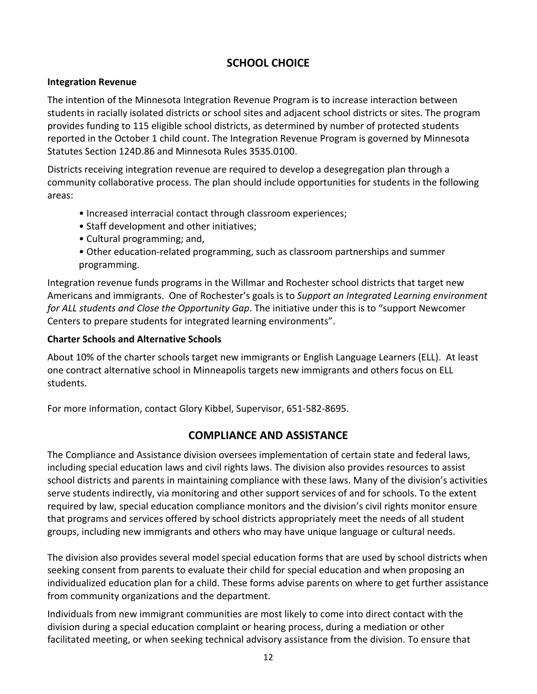# **SCHOOL CHOICE**

#### **Integration Revenue**

The intention of the Minnesota Integration Revenue Program is to increase interaction between students in racially isolated districts or school sites and adjacent school districts or sites. The program provides funding to 115 eligible school districts, as determined by number of protected students reported in the October 1 child count. The Integration Revenue Program is governed by Minnesota Statutes Section 124D.86 and Minnesota Rules 3535.0100.

Districts receiving integration revenue are required to develop a desegregation plan through a community collaborative process. The plan should include opportunities for students in the following areas:

- Increased interracial contact through classroom experiences;
- Staff development and other initiatives;
- Cultural programming; and,
- Other education‐related programming, such as classroom partnerships and summer programming.

Integration revenue funds programs in the Willmar and Rochester school districts that target new Americans and immigrants. One of Rochester's goals is to *Support an Integrated Learning environment for ALL students and Close the Opportunity Gap*. The initiative under this is to "support Newcomer Centers to prepare students for integrated learning environments".

#### **Charter Schools and Alternative Schools**

About 10% of the charter schools target new immigrants or English Language Learners (ELL). At least one contract alternative school in Minneapolis targets new immigrants and others focus on ELL students.

For more information, contact Glory Kibbel, Supervisor, 651‐582‐8695.

# **COMPLIANCE AND ASSISTANCE**

The Compliance and Assistance division oversees implementation of certain state and federal laws, including special education laws and civil rights laws. The division also provides resources to assist school districts and parents in maintaining compliance with these laws. Many of the division's activities serve students indirectly, via monitoring and other support services of and for schools. To the extent required by law, special education compliance monitors and the division's civil rights monitor ensure that programs and services offered by school districts appropriately meet the needs of all student groups, including new immigrants and others who may have unique language or cultural needs.

The division also provides several model special education forms that are used by school districts when seeking consent from parents to evaluate their child for special education and when proposing an individualized education plan for a child. These forms advise parents on where to get further assistance from community organizations and the department.

Individuals from new immigrant communities are most likely to come into direct contact with the division during a special education complaint or hearing process, during a mediation or other facilitated meeting, or when seeking technical advisory assistance from the division. To ensure that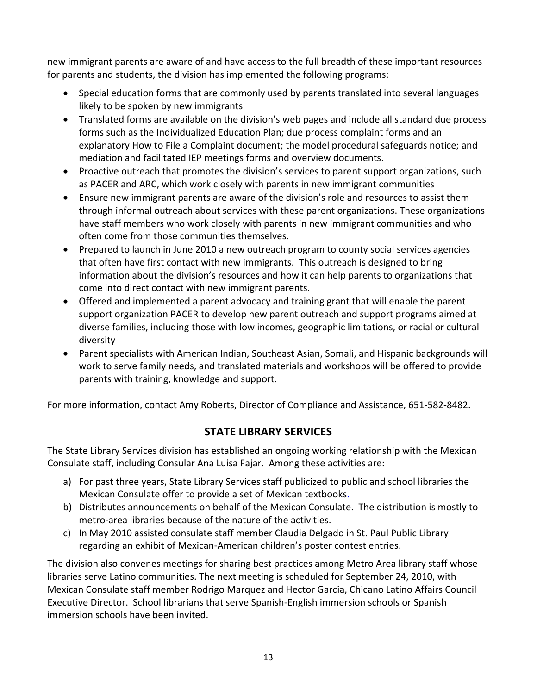new immigrant parents are aware of and have access to the full breadth of these important resources for parents and students, the division has implemented the following programs:

- Special education forms that are commonly used by parents translated into several languages likely to be spoken by new immigrants
- Translated forms are available on the division's web pages and include all standard due process forms such as the Individualized Education Plan; due process complaint forms and an explanatory How to File a Complaint document; the model procedural safeguards notice; and mediation and facilitated IEP meetings forms and overview documents.
- Proactive outreach that promotes the division's services to parent support organizations, such as PACER and ARC, which work closely with parents in new immigrant communities
- Ensure new immigrant parents are aware of the division's role and resources to assist them through informal outreach about services with these parent organizations. These organizations have staff members who work closely with parents in new immigrant communities and who often come from those communities themselves.
- Prepared to launch in June 2010 a new outreach program to county social services agencies that often have first contact with new immigrants. This outreach is designed to bring information about the division's resources and how it can help parents to organizations that come into direct contact with new immigrant parents.
- Offered and implemented a parent advocacy and training grant that will enable the parent support organization PACER to develop new parent outreach and support programs aimed at diverse families, including those with low incomes, geographic limitations, or racial or cultural diversity
- Parent specialists with American Indian, Southeast Asian, Somali, and Hispanic backgrounds will work to serve family needs, and translated materials and workshops will be offered to provide parents with training, knowledge and support.

For more information, contact Amy Roberts, Director of Compliance and Assistance, 651‐582‐8482.

# **STATE LIBRARY SERVICES**

The State Library Services division has established an ongoing working relationship with the Mexican Consulate staff, including Consular Ana Luisa Fajar. Among these activities are:

- a) For past three years, State Library Services staff publicized to public and school libraries the Mexican Consulate offer to provide a set of Mexican textbooks.
- b) Distributes announcements on behalf of the Mexican Consulate. The distribution is mostly to metro‐area libraries because of the nature of the activities.
- c) In May 2010 assisted consulate staff member Claudia Delgado in St. Paul Public Library regarding an exhibit of Mexican‐American children's poster contest entries.

The division also convenes meetings for sharing best practices among Metro Area library staff whose libraries serve Latino communities. The next meeting is scheduled for September 24, 2010, with Mexican Consulate staff member Rodrigo Marquez and Hector Garcia, Chicano Latino Affairs Council Executive Director. School librarians that serve Spanish‐English immersion schools or Spanish immersion schools have been invited.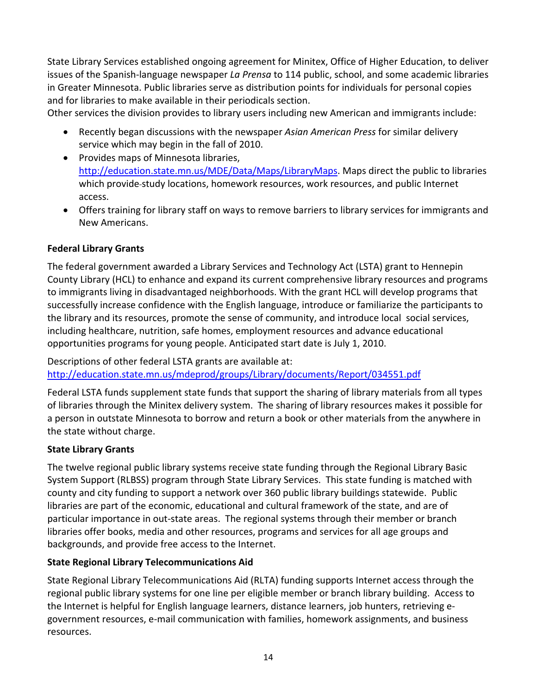State Library Services established ongoing agreement for Minitex, Office of Higher Education, to deliver issues of the Spanish‐language newspaper *La Prensa* to 114 public, school, and some academic libraries in Greater Minnesota. Public libraries serve as distribution points for individuals for personal copies and for libraries to make available in their periodicals section.

Other services the division provides to library users including new American and immigrants include:

- Recently began discussions with the newspaper *Asian American Press* for similar delivery service which may begin in the fall of 2010.
- Provides maps of Minnesota libraries, http://education.state.mn.us/MDE/Data/Maps/LibraryMaps. Maps direct the public to libraries which provide study locations, homework resources, work resources, and public Internet access.
- Offers training for library staff on ways to remove barriers to library services for immigrants and New Americans.

### **Federal Library Grants**

The federal government awarded a Library Services and Technology Act (LSTA) grant to Hennepin County Library (HCL) to enhance and expand its current comprehensive library resources and programs to immigrants living in disadvantaged neighborhoods. With the grant HCL will develop programs that successfully increase confidence with the English language, introduce or familiarize the participants to the library and its resources, promote the sense of community, and introduce local social services, including healthcare, nutrition, safe homes, employment resources and advance educational opportunities programs for young people. Anticipated start date is July 1, 2010.

Descriptions of other federal LSTA grants are available at:

http://education.state.mn.us/mdeprod/groups/Library/documents/Report/034551.pdf

Federal LSTA funds supplement state funds that support the sharing of library materials from all types of libraries through the Minitex delivery system. The sharing of library resources makes it possible for a person in outstate Minnesota to borrow and return a book or other materials from the anywhere in the state without charge.

#### **State Library Grants**

The twelve regional public library systems receive state funding through the Regional Library Basic System Support (RLBSS) program through State Library Services. This state funding is matched with county and city funding to support a network over 360 public library buildings statewide. Public libraries are part of the economic, educational and cultural framework of the state, and are of particular importance in out‐state areas. The regional systems through their member or branch libraries offer books, media and other resources, programs and services for all age groups and backgrounds, and provide free access to the Internet.

#### **State Regional Library Telecommunications Aid**

State Regional Library Telecommunications Aid (RLTA) funding supports Internet access through the regional public library systems for one line per eligible member or branch library building. Access to the Internet is helpful for English language learners, distance learners, job hunters, retrieving e‐ government resources, e‐mail communication with families, homework assignments, and business resources.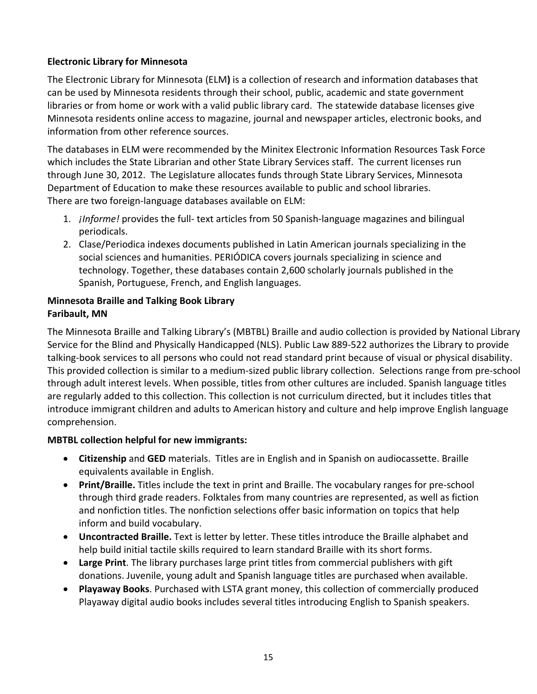### **Electronic Library for Minnesota**

The Electronic Library for Minnesota (ELM**)** is a collection of research and information databases that can be used by Minnesota residents through their school, public, academic and state government libraries or from home or work with a valid public library card. The statewide database licenses give Minnesota residents online access to magazine, journal and newspaper articles, electronic books, and information from other reference sources.

The databases in ELM were recommended by the Minitex Electronic Information Resources Task Force which includes the State Librarian and other State Library Services staff. The current licenses run through June 30, 2012. The Legislature allocates funds through State Library Services, Minnesota Department of Education to make these resources available to public and school libraries. There are two foreign‐language databases available on ELM:

- 1. *¡Informe!* provides the full‐ text articles from 50 Spanish‐language magazines and bilingual periodicals.
- 2. Clase/Periodica indexes documents published in Latin American journals specializing in the social sciences and humanities. PERIÓDICA covers journals specializing in science and technology. Together, these databases contain 2,600 scholarly journals published in the Spanish, Portuguese, French, and English languages.

### **Minnesota Braille and Talking Book Library Faribault, MN**

The Minnesota Braille and Talking Library's (MBTBL) Braille and audio collection is provided by National Library Service for the Blind and Physically Handicapped (NLS). Public Law 889‐522 authorizes the Library to provide talking‐book services to all persons who could not read standard print because of visual or physical disability. This provided collection is similar to a medium‐sized public library collection. Selections range from pre‐school through adult interest levels. When possible, titles from other cultures are included. Spanish language titles are regularly added to this collection. This collection is not curriculum directed, but it includes titles that introduce immigrant children and adults to American history and culture and help improve English language comprehension.

# **MBTBL collection helpful for new immigrants:**

- **Citizenship** and **GED** materials. Titles are in English and in Spanish on audiocassette. Braille equivalents available in English.
- **Print/Braille.** Titles include the text in print and Braille. The vocabulary ranges for pre‐school through third grade readers. Folktales from many countries are represented, as well as fiction and nonfiction titles. The nonfiction selections offer basic information on topics that help inform and build vocabulary.
- **Uncontracted Braille.** Text is letter by letter. These titles introduce the Braille alphabet and help build initial tactile skills required to learn standard Braille with its short forms.
- **Large Print**. The library purchases large print titles from commercial publishers with gift donations. Juvenile, young adult and Spanish language titles are purchased when available.
- **Playaway Books**. Purchased with LSTA grant money, this collection of commercially produced Playaway digital audio books includes several titles introducing English to Spanish speakers.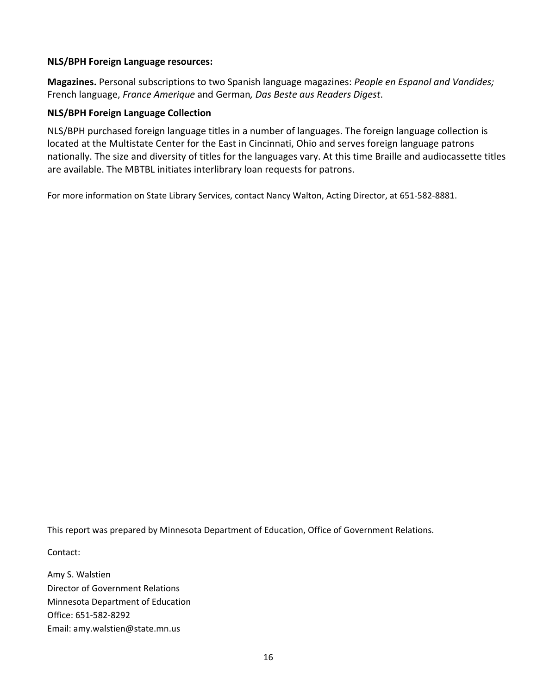#### **NLS/BPH Foreign Language resources:**

**Magazines.** Personal subscriptions to two Spanish language magazines: *People en Espanol and Vandides;* French language, *France Amerique* and German*, Das Beste aus Readers Digest*.

#### **NLS/BPH Foreign Language Collection**

NLS/BPH purchased foreign language titles in a number of languages. The foreign language collection is located at the Multistate Center for the East in Cincinnati, Ohio and serves foreign language patrons nationally. The size and diversity of titles for the languages vary. At this time Braille and audiocassette titles are available. The MBTBL initiates interlibrary loan requests for patrons.

For more information on State Library Services, contact Nancy Walton, Acting Director, at 651‐582‐8881.

This report was prepared by Minnesota Department of Education, Office of Government Relations.

Contact:

Amy S. Walstien Director of Government Relations Minnesota Department of Education Office: 651‐582‐8292 Email: amy.walstien@state.mn.us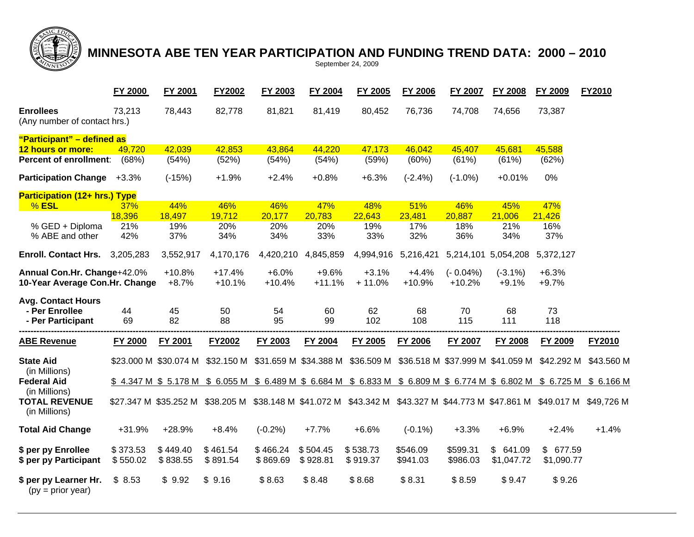

# **MINNESOTA ABE TEN YEAR PARTICIPATION AND FUNDING TREND DATA: 2000 – 2010**  September 24, 2009

|                                                                  | FY 2000              | FY 2001               | FY2002               | FY 2003              | FY 2004               | FY 2005                                                                                                                  | FY 2006                                     | FY 2007                 | <b>FY 2008</b>         | FY 2009                 | FY2010        |  |
|------------------------------------------------------------------|----------------------|-----------------------|----------------------|----------------------|-----------------------|--------------------------------------------------------------------------------------------------------------------------|---------------------------------------------|-------------------------|------------------------|-------------------------|---------------|--|
| <b>Enrollees</b><br>(Any number of contact hrs.)                 | 73,213               | 78,443                | 82,778               | 81,821               | 81,419                | 80,452                                                                                                                   | 76,736                                      | 74,708                  | 74,656                 | 73,387                  |               |  |
| "Participant" - defined as                                       |                      |                       |                      |                      |                       |                                                                                                                          |                                             |                         |                        |                         |               |  |
| 12 hours or more:                                                | 49,720               | 42,039                | 42,853               | 43,864               | 44,220                | 47,173                                                                                                                   | 46,042                                      | 45,407                  | 45,681                 | 45,588                  |               |  |
| <b>Percent of enrollment:</b>                                    | (68%)                | (54%)                 | (52%)                | (54%)                | (54%)                 | (59%)                                                                                                                    | (60%)                                       | (61%)                   | (61%)                  | (62%)                   |               |  |
| <b>Participation Change</b>                                      | $+3.3%$              | $(-15%)$              | $+1.9%$              | $+2.4%$              | $+0.8%$               | $+6.3%$                                                                                                                  | $(-2.4%)$                                   | $(-1.0\%)$              | $+0.01%$               | 0%                      |               |  |
| Participation (12+ hrs.) Type                                    |                      |                       |                      |                      |                       |                                                                                                                          |                                             |                         |                        |                         |               |  |
| $%$ ESL                                                          | 37%                  | 44%                   | 46%                  | 46%                  | 47%                   | 48%                                                                                                                      | 51%                                         | 46%                     | 45%                    | 47%                     |               |  |
|                                                                  | 18,396               | 18,497                | 19,712               | 20,177               | 20,783                | 22,643                                                                                                                   | 23,481                                      | 20,887                  | 21,006                 | 21,426                  |               |  |
| % GED + Diploma                                                  | 21%                  | 19%                   | 20%                  | 20%                  | 20%                   | 19%                                                                                                                      | 17%                                         | 18%                     | 21%                    | 16%                     |               |  |
| % ABE and other                                                  | 42%                  | 37%                   | 34%                  | 34%                  | 33%                   | 33%                                                                                                                      | 32%                                         | 36%                     | 34%                    | 37%                     |               |  |
| <b>Enroll. Contact Hrs.</b> 3,205,283                            |                      | 3,552,917             | 4,170,176            | 4,420,210            | 4,845,859             | 4,994,916                                                                                                                | 5,216,421                                   |                         | 5,214,101 5,054,208    | 5,372,127               |               |  |
| Annual Con.Hr. Change+42.0%<br>10-Year Average Con.Hr. Change    |                      | $+10.8%$<br>$+8.7%$   | $+17.4%$<br>$+10.1%$ | $+6.0%$<br>$+10.4%$  | $+9.6%$<br>$+11.1%$   | $+3.1%$<br>$+11.0%$                                                                                                      | $+4.4%$<br>$+10.9%$                         | $(-0.04\%)$<br>$+10.2%$ | $(-3.1\%)$<br>$+9.1%$  | $+6.3%$<br>$+9.7%$      |               |  |
| <b>Avg. Contact Hours</b><br>- Per Enrollee<br>- Per Participant | 44<br>69             | 45<br>82              | 50<br>88             | 54<br>95             | 60<br>99              | 62<br>102                                                                                                                | 68<br>108                                   | 70<br>115               | 68<br>111              | 73<br>118               |               |  |
| <b>ABE Revenue</b>                                               | FY 2000              | <b>FY 2001</b>        | FY2002               | FY 2003              | <b>FY 2004</b>        | FY 2005                                                                                                                  | <b>FY 2006</b>                              | <b>FY 2007</b>          | <b>FY 2008</b>         | FY 2009                 | <b>FY2010</b> |  |
| <b>State Aid</b><br>(in Millions)                                |                      | \$23.000 M \$30.074 M | \$32.150 M           |                      | \$31.659 M \$34.388 M |                                                                                                                          | \$36.509 M \$36.518 M \$37.999 M \$41.059 M |                         |                        | \$42.292 M              | \$43.560 M    |  |
| <b>Federal Aid</b>                                               |                      |                       |                      |                      |                       | \$4.347 M \$5.178 M \$6.055 M \$6.489 M \$6.684 M \$6.833 M \$6.809 M \$6.774 M \$6.802 M \$6.725 M \$6.166 M            |                                             |                         |                        |                         |               |  |
| (in Millions)<br><b>TOTAL REVENUE</b><br>(in Millions)           |                      |                       |                      |                      |                       | \$27.347 M \$35.252 M \$38.205 M \$38.148 M \$41.072 M \$43.342 M \$43.327 M \$44.773 M \$47.861 M \$49.017 M \$49,726 M |                                             |                         |                        |                         |               |  |
| <b>Total Aid Change</b>                                          | +31.9%               | +28.9%                | $+8.4%$              | $(-0.2%)$            | $+7.7%$               | $+6.6%$                                                                                                                  | $(-0.1\%)$                                  | $+3.3%$                 | $+6.9%$                | $+2.4%$                 | $+1.4%$       |  |
| \$ per py Enrollee<br>\$ per py Participant                      | \$373.53<br>\$550.02 | \$449.40<br>\$838.55  | \$461.54<br>\$891.54 | \$466.24<br>\$869.69 | \$504.45<br>\$928.81  | \$538.73<br>\$919.37                                                                                                     | \$546.09<br>\$941.03                        | \$599.31<br>\$986.03    | \$641.09<br>\$1,047.72 | \$ 677.59<br>\$1,090.77 |               |  |
| \$ per py Learner Hr.<br>$(py = prior year)$                     | \$8.53               | \$9.92                | \$9.16               | \$8.63               | \$8.48                | \$8.68                                                                                                                   | \$8.31                                      | \$8.59                  | \$9.47                 | \$9.26                  |               |  |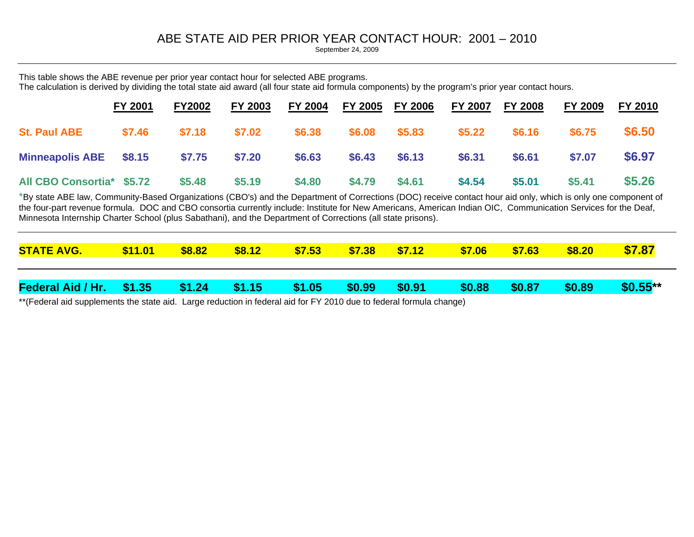# ABE STATE AID PER PRIOR YEAR CONTACT HOUR: 2001 – 2010

September 24, 2009

This table shows the ABE revenue per prior year contact hour for selected ABE programs. The calculation is derived by dividing the total state aid award (all four state aid formula components) by the program's prior year contact hours.

|                           | <b>FY 2001</b> | <b>FY2002</b> | <b>FY 2003</b> | <b>FY 2004</b> | FY 2005 FY 2006 |                 | <b>FY 2007</b> | <b>FY 2008</b> | <b>FY 2009</b> | FY 2010 |
|---------------------------|----------------|---------------|----------------|----------------|-----------------|-----------------|----------------|----------------|----------------|---------|
| <b>St. Paul ABE</b>       | \$7.46         | \$7.18        | \$7.02         | \$6.38         | \$6.08          | $$5.83$ $$5.22$ |                | \$6.16         | \$6.75         | \$6.50  |
| Minneapolis ABE \$8.15    |                | \$7.75        | \$7.20         | \$6.63         | $$6.43$ $$6.13$ |                 | \$6.31         | \$6.61         | \$7.07         | \$6.97  |
| All CBO Consortia* \$5.72 |                | \$5.48        | \$5.19         | \$4.80         | \$4.79          | \$4.61          | \$4.54         | \$5.01         | \$5.41         | \$5.26  |

\*By state ABE law, Community-Based Organizations (CBO's) and the Department of Corrections (DOC) receive contact hour aid only, which is only one component of the four-part revenue formula. DOC and CBO consortia currently include: Institute for New Americans, American Indian OIC, Communication Services for the Deaf, Minnesota Internship Charter School (plus Sabathani), and the Department of Corrections (all state prisons).

| <b>STATE AVG.</b>                      | \$11.01 | \$8.82 | \$8.12 | \$7.53 | $\frac{\$7.38}{\$7.38}$ | \$7.12         | \$7.06 | \$7.63 | \$8.20 | \$7.87     |
|----------------------------------------|---------|--------|--------|--------|-------------------------|----------------|--------|--------|--------|------------|
| Federal Aid / Hr. \$1.35 \$1.24 \$1.15 |         |        |        | \$1.05 | $\sqrt{$0.99}$          | $\sqrt{$0.91}$ | \$0.88 | \$0.87 | \$0.89 | $$0.55***$ |

\*\*(Federal aid supplements the state aid. Large reduction in federal aid for FY 2010 due to federal formula change)